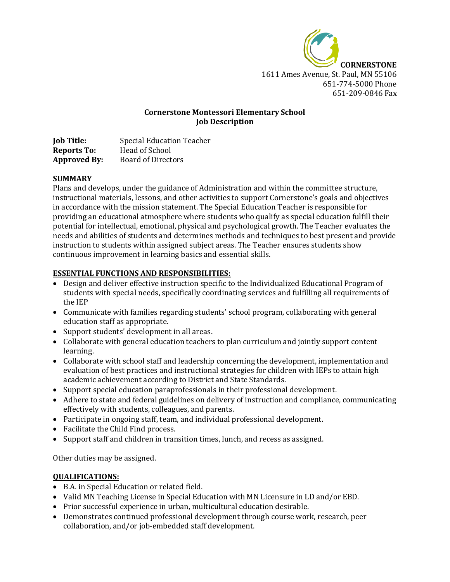

# **Cornerstone Montessori Elementary School Job Description**

| <b>Job Title:</b>   | <b>Special Education Teacher</b> |
|---------------------|----------------------------------|
| <b>Reports To:</b>  | Head of School                   |
| <b>Approved By:</b> | <b>Board of Directors</b>        |

## **SUMMARY**

Plans and develops, under the guidance of Administration and within the committee structure, instructional materials, lessons, and other activities to support Cornerstone's goals and objectives in accordance with the mission statement. The Special Education Teacher is responsible for providing an educational atmosphere where students who qualify as special education fulfill their potential for intellectual, emotional, physical and psychological growth. The Teacher evaluates the needs and abilities of students and determines methods and techniques to best present and provide instruction to students within assigned subject areas. The Teacher ensures students show continuous improvement in learning basics and essential skills.

# **ESSENTIAL FUNCTIONS AND RESPONSIBILITIES:**

- Design and deliver effective instruction specific to the Individualized Educational Program of students with special needs, specifically coordinating services and fulfilling all requirements of the IEP
- Communicate with families regarding students' school program, collaborating with general education staff as appropriate.
- Support students' development in all areas.
- Collaborate with general education teachers to plan curriculum and jointly support content learning.
- Collaborate with school staff and leadership concerning the development, implementation and evaluation of best practices and instructional strategies for children with IEPs to attain high academic achievement according to District and State Standards.
- Support special education paraprofessionals in their professional development.
- Adhere to state and federal guidelines on delivery of instruction and compliance, communicating effectively with students, colleagues, and parents.
- Participate in ongoing staff, team, and individual professional development.
- Facilitate the Child Find process.
- Support staff and children in transition times, lunch, and recess as assigned.

Other duties may be assigned.

## **QUALIFICATIONS:**

- B.A. in Special Education or related field.
- Valid MN Teaching License in Special Education with MN Licensure in LD and/or EBD.
- Prior successful experience in urban, multicultural education desirable.
- Demonstrates continued professional development through course work, research, peer collaboration, and/or job-embedded staff development.